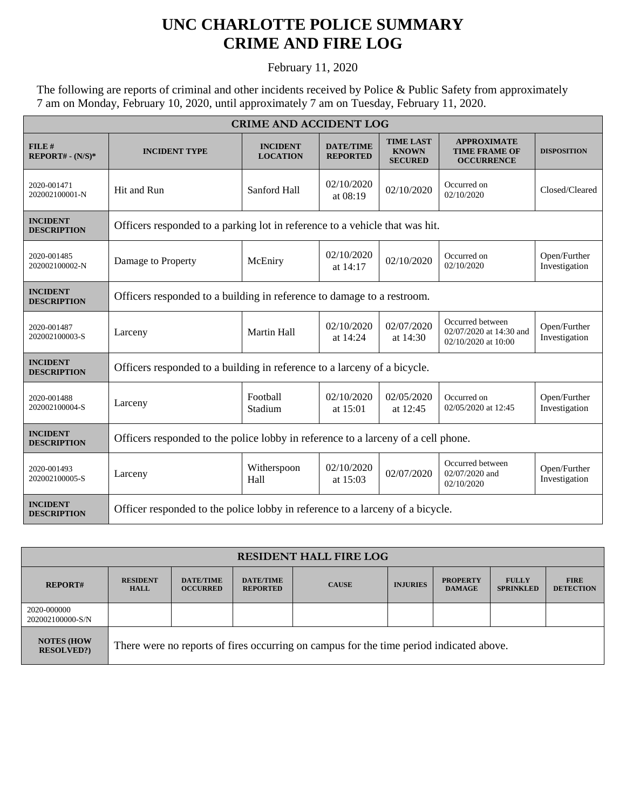## **UNC CHARLOTTE POLICE SUMMARY CRIME AND FIRE LOG**

February 11, 2020

The following are reports of criminal and other incidents received by Police & Public Safety from approximately 7 am on Monday, February 10, 2020, until approximately 7 am on Tuesday, February 11, 2020.

| <b>CRIME AND ACCIDENT LOG</b>         |                                                                                   |                                    |                                     |                                                    |                                                                    |                               |  |  |
|---------------------------------------|-----------------------------------------------------------------------------------|------------------------------------|-------------------------------------|----------------------------------------------------|--------------------------------------------------------------------|-------------------------------|--|--|
| FILE#<br>$REPORT# - (N/S)*$           | <b>INCIDENT TYPE</b>                                                              | <b>INCIDENT</b><br><b>LOCATION</b> | <b>DATE/TIME</b><br><b>REPORTED</b> | <b>TIME LAST</b><br><b>KNOWN</b><br><b>SECURED</b> | <b>APPROXIMATE</b><br><b>TIME FRAME OF</b><br><b>OCCURRENCE</b>    | <b>DISPOSITION</b>            |  |  |
| 2020-001471<br>202002100001-N         | Hit and Run                                                                       | Sanford Hall                       | 02/10/2020<br>at 08:19              | 02/10/2020                                         | Occurred on<br>02/10/2020                                          | Closed/Cleared                |  |  |
| <b>INCIDENT</b><br><b>DESCRIPTION</b> | Officers responded to a parking lot in reference to a vehicle that was hit.       |                                    |                                     |                                                    |                                                                    |                               |  |  |
| 2020-001485<br>202002100002-N         | Damage to Property                                                                | McEniry                            | 02/10/2020<br>at $14:17$            | 02/10/2020                                         | Occurred on<br>02/10/2020                                          | Open/Further<br>Investigation |  |  |
| <b>INCIDENT</b><br><b>DESCRIPTION</b> | Officers responded to a building in reference to damage to a restroom.            |                                    |                                     |                                                    |                                                                    |                               |  |  |
| 2020-001487<br>202002100003-S         | Larceny                                                                           | Martin Hall                        | 02/10/2020<br>at 14:24              | 02/07/2020<br>at 14:30                             | Occurred between<br>02/07/2020 at 14:30 and<br>02/10/2020 at 10:00 | Open/Further<br>Investigation |  |  |
| <b>INCIDENT</b><br><b>DESCRIPTION</b> | Officers responded to a building in reference to a larceny of a bicycle.          |                                    |                                     |                                                    |                                                                    |                               |  |  |
| 2020-001488<br>202002100004-S         | Larceny                                                                           | Football<br>Stadium                | 02/10/2020<br>at $15:01$            | 02/05/2020<br>at 12:45                             | Occurred on<br>02/05/2020 at 12:45                                 | Open/Further<br>Investigation |  |  |
| <b>INCIDENT</b><br><b>DESCRIPTION</b> | Officers responded to the police lobby in reference to a larceny of a cell phone. |                                    |                                     |                                                    |                                                                    |                               |  |  |
| 2020-001493<br>202002100005-S         | Larceny                                                                           | Witherspoon<br>Hall                | 02/10/2020<br>at 15:03              | 02/07/2020                                         | Occurred between<br>02/07/2020 and<br>02/10/2020                   | Open/Further<br>Investigation |  |  |
| <b>INCIDENT</b><br><b>DESCRIPTION</b> | Officer responded to the police lobby in reference to a larceny of a bicycle.     |                                    |                                     |                                                    |                                                                    |                               |  |  |

| <b>RESIDENT HALL FIRE LOG</b>          |                                                                                         |                                     |                                     |              |                 |                                  |                                  |                                 |
|----------------------------------------|-----------------------------------------------------------------------------------------|-------------------------------------|-------------------------------------|--------------|-----------------|----------------------------------|----------------------------------|---------------------------------|
| <b>REPORT#</b>                         | <b>RESIDENT</b><br><b>HALL</b>                                                          | <b>DATE/TIME</b><br><b>OCCURRED</b> | <b>DATE/TIME</b><br><b>REPORTED</b> | <b>CAUSE</b> | <b>INJURIES</b> | <b>PROPERTY</b><br><b>DAMAGE</b> | <b>FULLY</b><br><b>SPRINKLED</b> | <b>FIRE</b><br><b>DETECTION</b> |
| 2020-000000<br>202002100000-S/N        |                                                                                         |                                     |                                     |              |                 |                                  |                                  |                                 |
| <b>NOTES (HOW</b><br><b>RESOLVED?)</b> | There were no reports of fires occurring on campus for the time period indicated above. |                                     |                                     |              |                 |                                  |                                  |                                 |